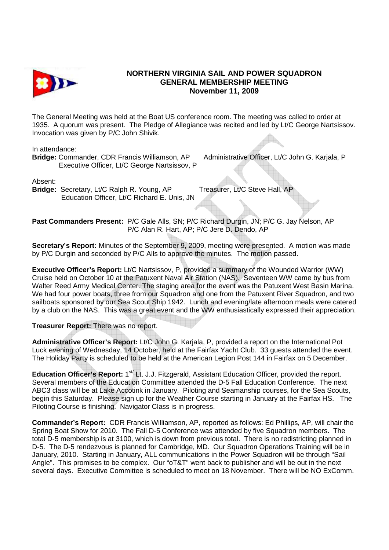

## **NORTHERN VIRGINIA SAIL AND POWER SQUADRON GENERAL MEMBERSHIP MEETING November 11, 2009**

The General Meeting was held at the Boat US conference room. The meeting was called to order at 1935. A quorum was present. The Pledge of Allegiance was recited and led by Lt/C George Nartsissov. Invocation was given by P/C John Shivik.

In attendance:

**Bridge:** Commander, CDR Francis Williamson, AP Administrative Officer, Lt/C John G. Karjala, P Executive Officer, Lt/C George Nartsissov, P

Absent:

**Bridge:** Secretary, Lt/C Ralph R. Young, AP Treasurer, Lt/C Steve Hall, AP Education Officer, Lt/C Richard E. Unis, JN

**Past Commanders Present:** P/C Gale Alls, SN; P/C Richard Durgin, JN; P/C G. Jay Nelson, AP P/C Alan R. Hart, AP; P/C Jere D. Dendo, AP

**Secretary's Report:** Minutes of the September 9, 2009, meeting were presented. A motion was made by P/C Durgin and seconded by P/C Alls to approve the minutes. The motion passed.

**Executive Officer's Report:** Lt/C Nartsissov, P, provided a summary of the Wounded Warrior (WW) Cruise held on October 10 at the Patuxent Naval Air Station (NAS). Seventeen WW came by bus from Walter Reed Army Medical Center. The staging area for the event was the Patuxent West Basin Marina. We had four power boats, three from our Squadron and one from the Patuxent River Squadron, and two sailboats sponsored by our Sea Scout Ship 1942. Lunch and evening/late afternoon meals were catered by a club on the NAS. This was a great event and the WW enthusiastically expressed their appreciation.

**Treasurer Report:** There was no report.

**Administrative Officer's Report:** Lt/C John G. Karjala, P, provided a report on the International Pot Luck evening of Wednesday, 14 October, held at the Fairfax Yacht Club. 33 guests attended the event. The Holiday Party is scheduled to be held at the American Legion Post 144 in Fairfax on 5 December.

Education Officer's Report: 1<sup>st/</sup> Lt. J.J. Fitzgerald, Assistant Education Officer, provided the report. Several members of the Education Committee attended the D-5 Fall Education Conference. The next ABC3 class will be at Lake Accotink in January. Piloting and Seamanship courses, for the Sea Scouts, begin this Saturday. Please sign up for the Weather Course starting in January at the Fairfax HS. The Piloting Course is finishing. Navigator Class is in progress.

**Commander's Report:** CDR Francis Williamson, AP, reported as follows: Ed Phillips, AP, will chair the Spring Boat Show for 2010. The Fall D-5 Conference was attended by five Squadron members. The total D-5 membership is at 3100, which is down from previous total. There is no redistricting planned in D-5. The D-5 rendezvous is planned for Cambridge, MD. Our Squadron Operations Training will be in January, 2010. Starting in January, ALL communications in the Power Squadron will be through "Sail Angle". This promises to be complex. Our "oT&T" went back to publisher and will be out in the next several days. Executive Committee is scheduled to meet on 18 November. There will be NO ExComm.